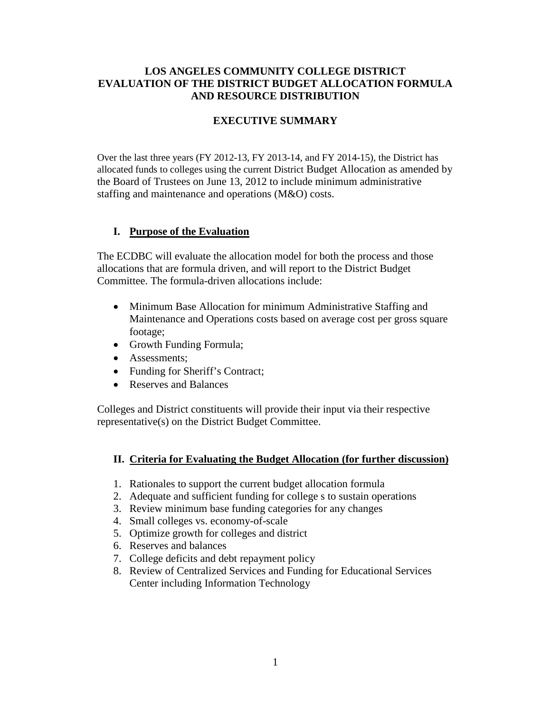### **LOS ANGELES COMMUNITY COLLEGE DISTRICT EVALUATION OF THE DISTRICT BUDGET ALLOCATION FORMULA AND RESOURCE DISTRIBUTION**

### **EXECUTIVE SUMMARY**

Over the last three years (FY 2012-13, FY 2013-14, and FY 2014-15), the District has allocated funds to colleges using the current District Budget Allocation as amended by the Board of Trustees on June 13, 2012 to include minimum administrative staffing and maintenance and operations (M&O) costs.

#### **I. Purpose of the Evaluation**

The ECDBC will evaluate the allocation model for both the process and those allocations that are formula driven, and will report to the District Budget Committee. The formula-driven allocations include:

- Minimum Base Allocation for minimum Administrative Staffing and Maintenance and Operations costs based on average cost per gross square footage;
- Growth Funding Formula;
- Assessments;
- Funding for Sheriff's Contract;
- Reserves and Balances

Colleges and District constituents will provide their input via their respective representative(s) on the District Budget Committee.

#### **II. Criteria for Evaluating the Budget Allocation (for further discussion)**

- 1. Rationales to support the current budget allocation formula
- 2. Adequate and sufficient funding for college s to sustain operations
- 3. Review minimum base funding categories for any changes
- 4. Small colleges vs. economy-of-scale
- 5. Optimize growth for colleges and district
- 6. Reserves and balances
- 7. College deficits and debt repayment policy
- 8. Review of Centralized Services and Funding for Educational Services Center including Information Technology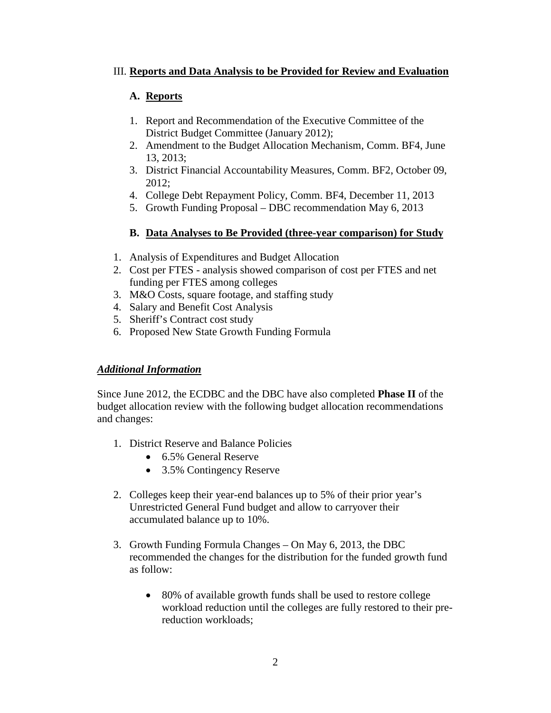## III. **Reports and Data Analysis to be Provided for Review and Evaluation**

# **A. Reports**

- 1. Report and Recommendation of the Executive Committee of the District Budget Committee (January 2012);
- 2. Amendment to the Budget Allocation Mechanism, Comm. BF4, June 13, 2013;
- 3. District Financial Accountability Measures, Comm. BF2, October 09, 2012;
- 4. College Debt Repayment Policy, Comm. BF4, December 11, 2013
- 5. Growth Funding Proposal DBC recommendation May 6, 2013

# **B. Data Analyses to Be Provided (three-year comparison) for Study**

- 1. Analysis of Expenditures and Budget Allocation
- 2. Cost per FTES analysis showed comparison of cost per FTES and net funding per FTES among colleges
- 3. M&O Costs, square footage, and staffing study
- 4. Salary and Benefit Cost Analysis
- 5. Sheriff's Contract cost study
- 6. Proposed New State Growth Funding Formula

## *Additional Information*

Since June 2012, the ECDBC and the DBC have also completed **Phase II** of the budget allocation review with the following budget allocation recommendations and changes:

- 1. District Reserve and Balance Policies
	- 6.5% General Reserve
	- 3.5% Contingency Reserve
- 2. Colleges keep their year-end balances up to 5% of their prior year's Unrestricted General Fund budget and allow to carryover their accumulated balance up to 10%.
- 3. Growth Funding Formula Changes On May 6, 2013, the DBC recommended the changes for the distribution for the funded growth fund as follow:
	- 80% of available growth funds shall be used to restore college workload reduction until the colleges are fully restored to their prereduction workloads;